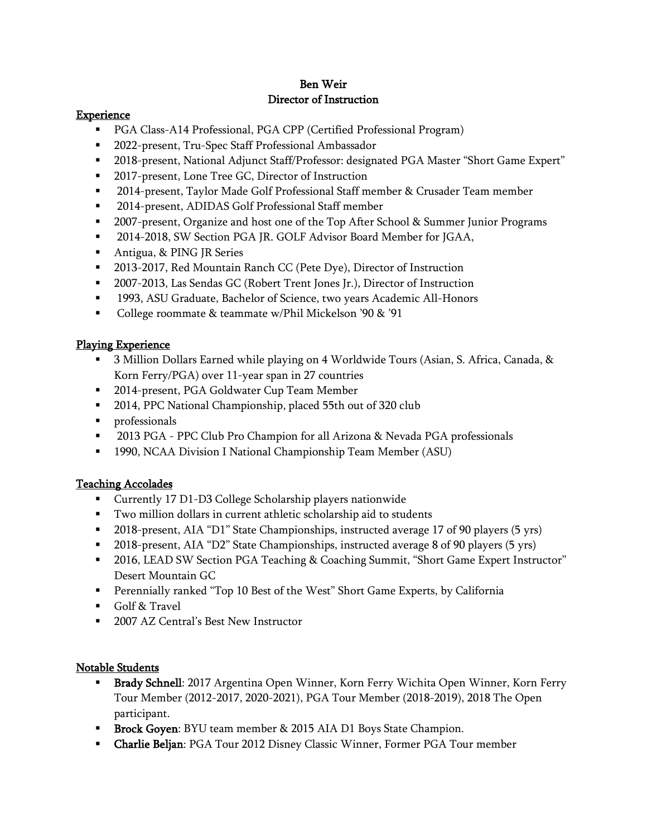## Ben Weir Director of Instruction

#### **Experience**

- PGA Class-A14 Professional, PGA CPP (Certified Professional Program)
- 2022-present, Tru-Spec Staff Professional Ambassador
- 2018-present, National Adjunct Staff/Professor: designated PGA Master "Short Game Expert"
- 2017-present, Lone Tree GC, Director of Instruction
- 2014-present, Taylor Made Golf Professional Staff member & Crusader Team member
- 2014-present, ADIDAS Golf Professional Staff member
- **■** 2007-present, Organize and host one of the Top After School & Summer Junior Programs
- **■** 2014-2018, SW Section PGA JR. GOLF Advisor Board Member for JGAA,
- Antigua, & PING JR Series
- 2013-2017, Red Mountain Ranch CC (Pete Dye), Director of Instruction
- 2007-2013, Las Sendas GC (Robert Trent Jones Jr.), Director of Instruction
- 1993, ASU Graduate, Bachelor of Science, two years Academic All-Honors
- College roommate & teammate w/Phil Mickelson '90 & '91

## Playing Experience

- 3 Million Dollars Earned while playing on 4 Worldwide Tours (Asian, S. Africa, Canada, & Korn Ferry/PGA) over 11-year span in 27 countries
- 2014-present, PGA Goldwater Cup Team Member
- 2014, PPC National Championship, placed 55th out of 320 club
- professionals
- 2013 PGA PPC Club Pro Champion for all Arizona & Nevada PGA professionals
- 1990, NCAA Division I National Championship Team Member (ASU)

# Teaching Accolades

- Currently 17 D1-D3 College Scholarship players nationwide
- Two million dollars in current athletic scholarship aid to students
- 2018-present, AIA "D1" State Championships, instructed average 17 of 90 players (5 yrs)
- 2018-present, AIA "D2" State Championships, instructed average 8 of 90 players (5 yrs)
- 2016, LEAD SW Section PGA Teaching & Coaching Summit, "Short Game Expert Instructor" Desert Mountain GC
- Perennially ranked "Top 10 Best of the West" Short Game Experts, by California
- Golf & Travel
- 2007 AZ Central's Best New Instructor

### Notable Students

- Brady Schnell: 2017 Argentina Open Winner, Korn Ferry Wichita Open Winner, Korn Ferry Tour Member (2012-2017, 2020-2021), PGA Tour Member (2018-2019), 2018 The Open participant.
- **EXECUTE:** BYU team member & 2015 AIA D1 Boys State Champion.
- Charlie Beljan: PGA Tour 2012 Disney Classic Winner, Former PGA Tour member